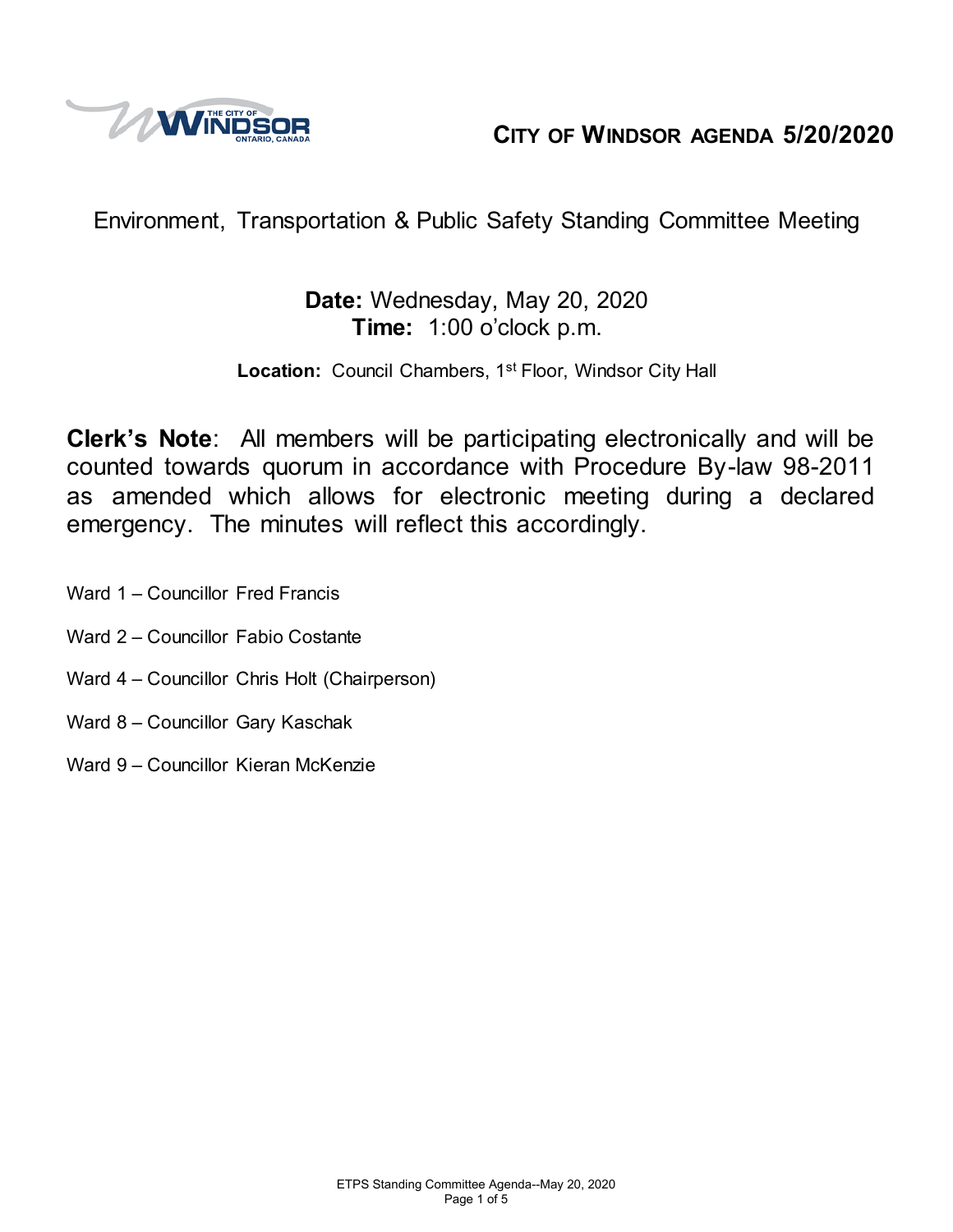

# **CITY OF WINDSOR AGENDA 5/20/2020**

# Environment, Transportation & Public Safety Standing Committee Meeting

## **Date:** Wednesday, May 20, 2020 **Time:** 1:00 o'clock p.m.

Location: Council Chambers, 1<sup>st</sup> Floor, Windsor City Hall

**Clerk's Note**: All members will be participating electronically and will be counted towards quorum in accordance with Procedure By-law 98-2011 as amended which allows for electronic meeting during a declared emergency. The minutes will reflect this accordingly.

Ward 1 – Councillor Fred Francis

- Ward 2 Councillor Fabio Costante
- Ward 4 Councillor Chris Holt (Chairperson)
- Ward 8 Councillor Gary Kaschak
- Ward 9 Councillor Kieran McKenzie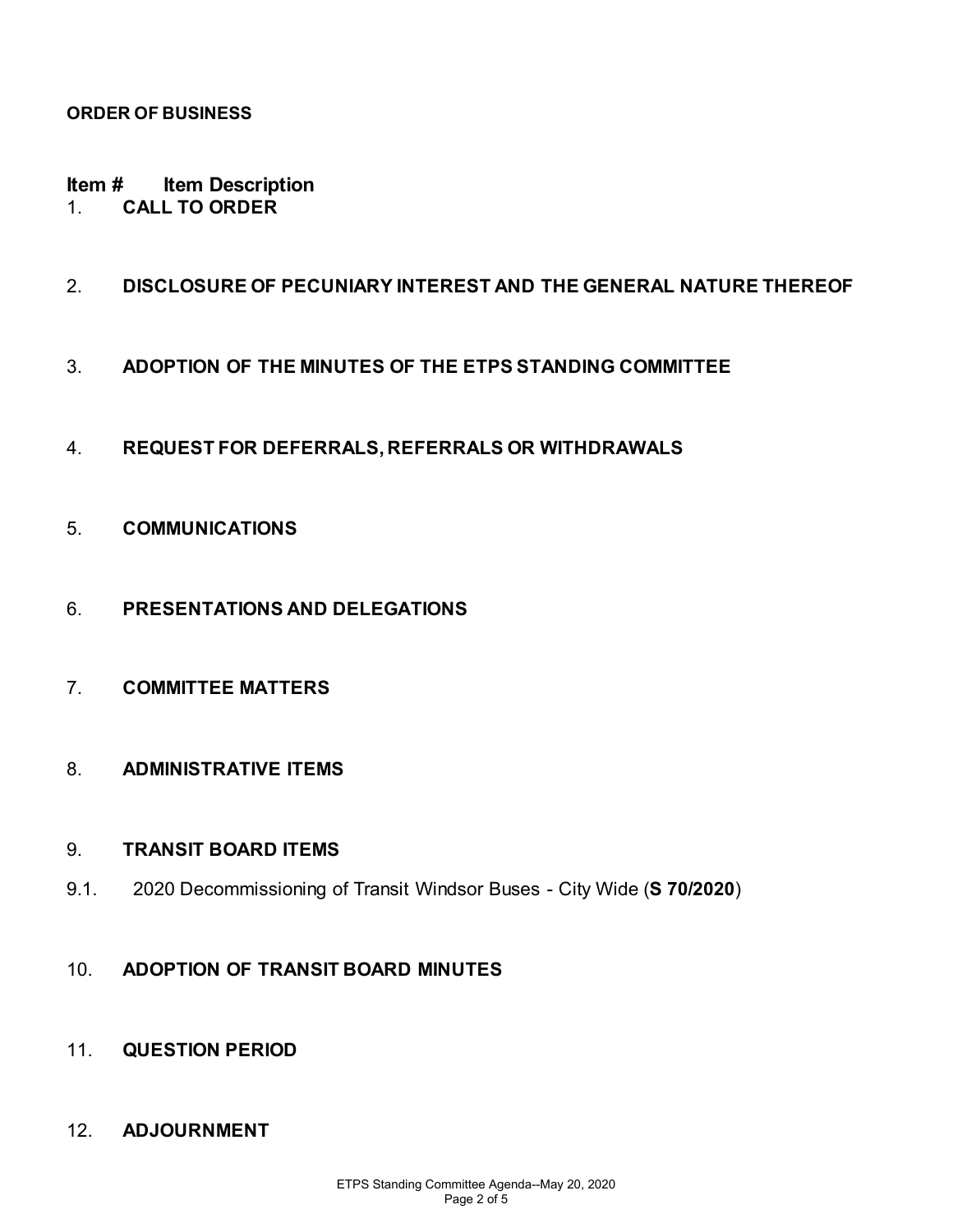#### **ORDER OF BUSINESS**

**Item # Item Description**  1. **CALL TO ORDER**

#### 2. **DISCLOSURE OF PECUNIARY INTEREST AND THE GENERAL NATURE THEREOF**

- 3. **ADOPTION OF THE MINUTES OF THE ETPS STANDING COMMITTEE**
- 4. **REQUEST FOR DEFERRALS, REFERRALS OR WITHDRAWALS**
- 5. **COMMUNICATIONS**
- 6. **PRESENTATIONS AND DELEGATIONS**
- 7. **COMMITTEE MATTERS**
- 8. **ADMINISTRATIVE ITEMS**

#### 9. **TRANSIT BOARD ITEMS**

- 9.1. 2020 Decommissioning of Transit Windsor Buses City Wide (**S 70/2020**)
- 10. **ADOPTION OF TRANSIT BOARD MINUTES**
- 11. **QUESTION PERIOD**

#### 12. **ADJOURNMENT**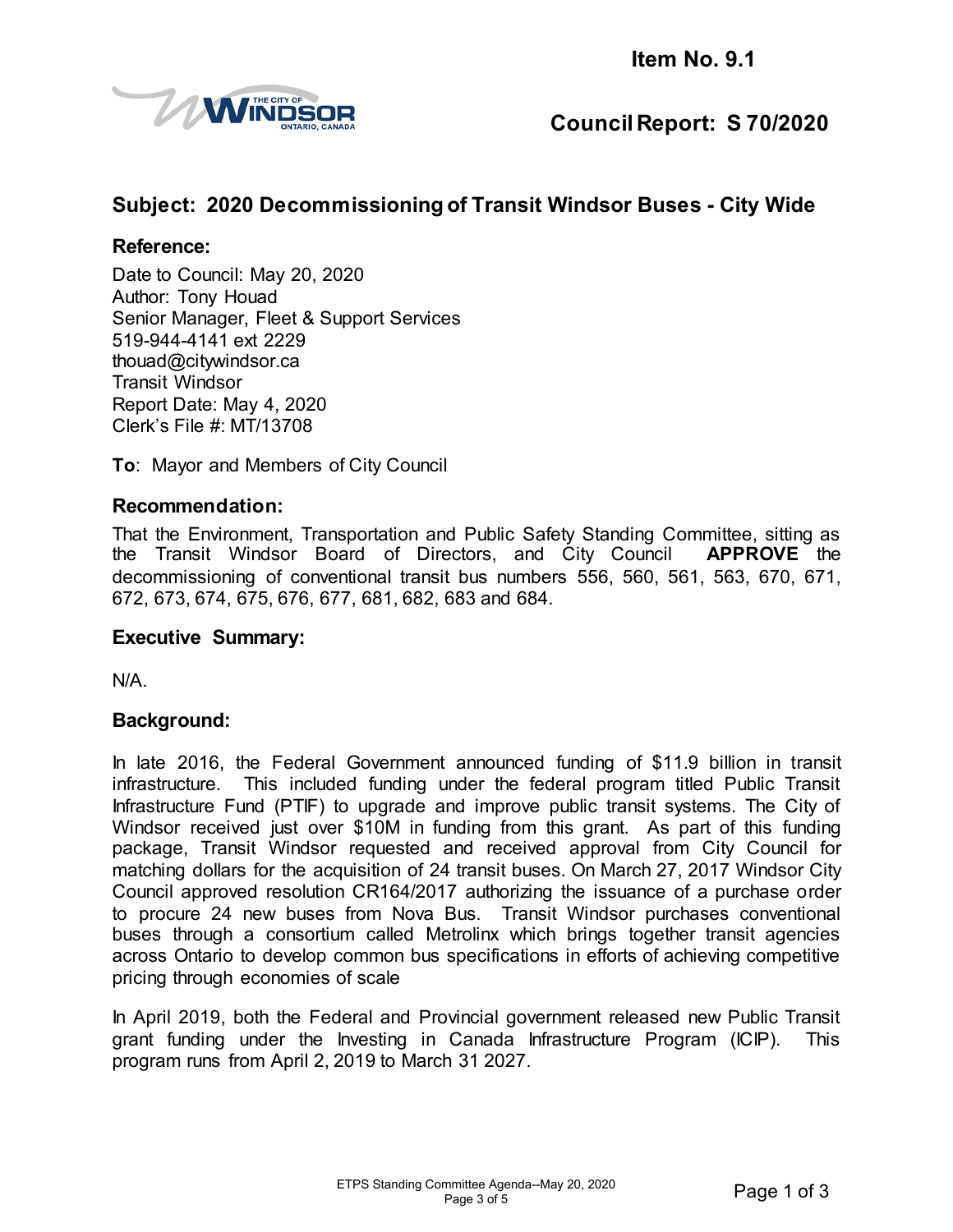

## **Council Report: S 70/2020**

### **Subject: 2020 Decommissioning of Transit Windsor Buses - City Wide**

#### **Reference:**

Date to Council: May 20, 2020 Author: Tony Houad Senior Manager, Fleet & Support Services 519-944-4141 ext 2229 thouad@citywindsor.ca Transit Windsor Report Date: May 4, 2020 Clerk's File #: MT/13708

**To**: Mayor and Members of City Council

#### **Recommendation:**

That the Environment, Transportation and Public Safety Standing Committee, sitting as the Transit Windsor Board of Directors, and City Council **APPROVE** the decommissioning of conventional transit bus numbers 556, 560, 561, 563, 670, 671, 672, 673, 674, 675, 676, 677, 681, 682, 683 and 684.

#### **Executive Summary:**

N/A.

#### **Background:**

In late 2016, the Federal Government announced funding of \$11.9 billion in transit infrastructure. This included funding under the federal program titled Public Transit Infrastructure Fund (PTIF) to upgrade and improve public transit systems. The City of Windsor received just over \$10M in funding from this grant. As part of this funding package, Transit Windsor requested and received approval from City Council for matching dollars for the acquisition of 24 transit buses. On March 27, 2017 Windsor City Council approved resolution CR164/2017 authorizing the issuance of a purchase order to procure 24 new buses from Nova Bus. Transit Windsor purchases conventional buses through a consortium called Metrolinx which brings together transit agencies across Ontario to develop common bus specifications in efforts of achieving competitive pricing through economies of scale

In April 2019, both the Federal and Provincial government released new Public Transit grant funding under the Investing in Canada Infrastructure Program (ICIP). This program runs from April 2, 2019 to March 31 2027.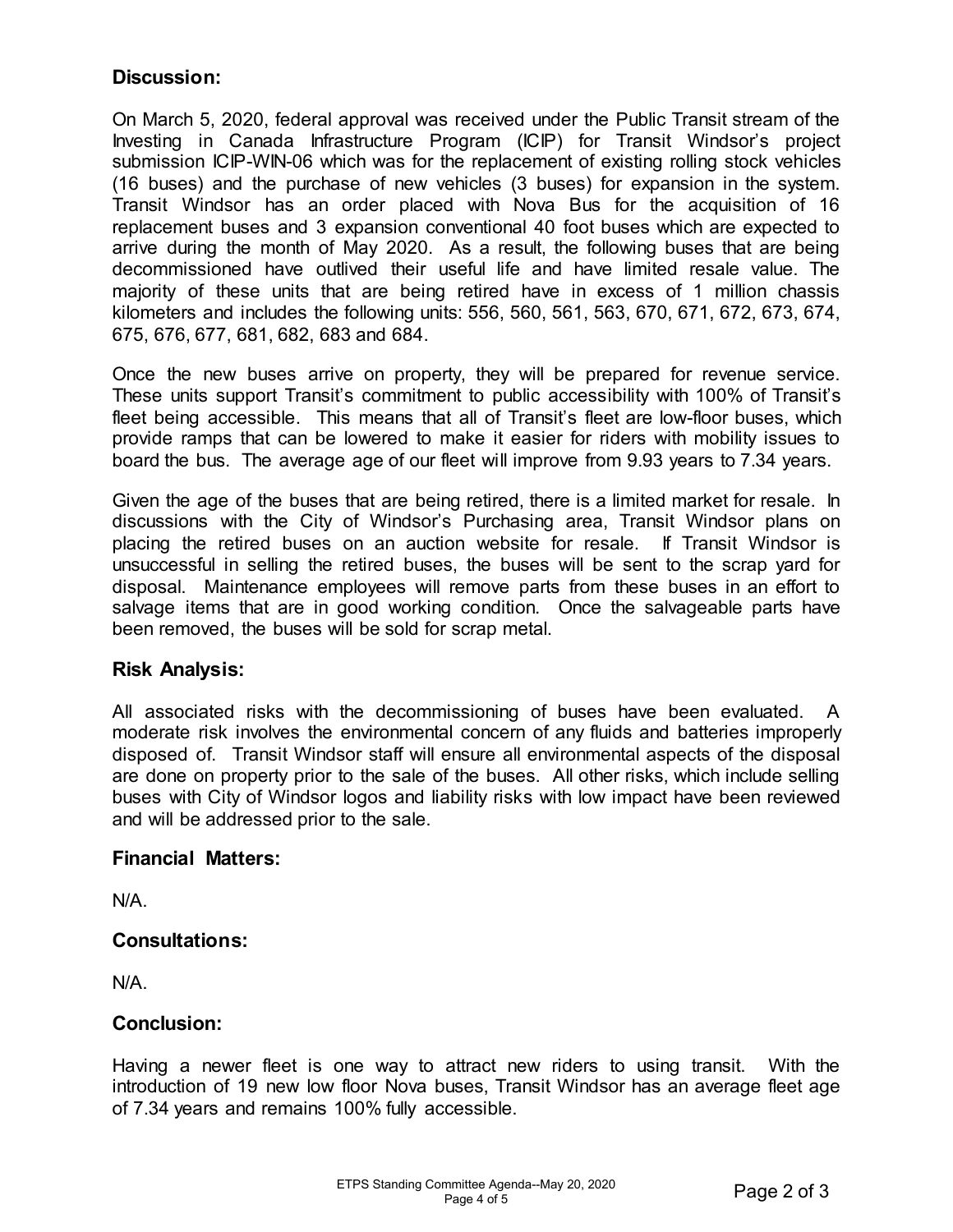#### **Discussion:**

On March 5, 2020, federal approval was received under the Public Transit stream of the Investing in Canada Infrastructure Program (ICIP) for Transit Windsor's project submission ICIP-WIN-06 which was for the replacement of existing rolling stock vehicles (16 buses) and the purchase of new vehicles (3 buses) for expansion in the system. Transit Windsor has an order placed with Nova Bus for the acquisition of 16 replacement buses and 3 expansion conventional 40 foot buses which are expected to arrive during the month of May 2020. As a result, the following buses that are being decommissioned have outlived their useful life and have limited resale value. The majority of these units that are being retired have in excess of 1 million chassis kilometers and includes the following units: 556, 560, 561, 563, 670, 671, 672, 673, 674, 675, 676, 677, 681, 682, 683 and 684.

Once the new buses arrive on property, they will be prepared for revenue service. These units support Transit's commitment to public accessibility with 100% of Transit's fleet being accessible. This means that all of Transit's fleet are low-floor buses, which provide ramps that can be lowered to make it easier for riders with mobility issues to board the bus. The average age of our fleet will improve from 9.93 years to 7.34 years.

Given the age of the buses that are being retired, there is a limited market for resale. In discussions with the City of Windsor's Purchasing area, Transit Windsor plans on placing the retired buses on an auction website for resale. If Transit Windsor is unsuccessful in selling the retired buses, the buses will be sent to the scrap yard for disposal. Maintenance employees will remove parts from these buses in an effort to salvage items that are in good working condition. Once the salvageable parts have been removed, the buses will be sold for scrap metal.

#### **Risk Analysis:**

All associated risks with the decommissioning of buses have been evaluated. A moderate risk involves the environmental concern of any fluids and batteries improperly disposed of. Transit Windsor staff will ensure all environmental aspects of the disposal are done on property prior to the sale of the buses. All other risks, which include selling buses with City of Windsor logos and liability risks with low impact have been reviewed and will be addressed prior to the sale.

#### **Financial Matters:**

N/A.

#### **Consultations:**

N/A.

#### **Conclusion:**

Having a newer fleet is one way to attract new riders to using transit. With the introduction of 19 new low floor Nova buses, Transit Windsor has an average fleet age of 7.34 years and remains 100% fully accessible.